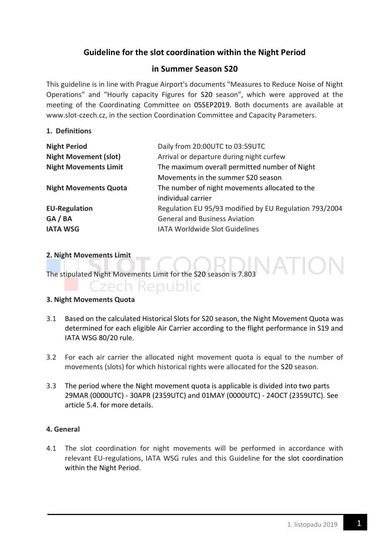## **Guideline for the slot coordination within the Night Period**

## **in Summer Season S20**

This guideline is in line with Prague Airport's documents "Measures to Reduce Noise of Night Operations" and "Hourly capacity Figures for S20 season", which were approved at the meeting of the Coordinating Committee on 05SEP2019. Both documents are available at www.slot-czech.cz, in the section Coordination Committee and Capacity Parameters.

## **1. Definitions**

| <b>Night Period</b>          | Daily from 20:00UTC to 03:59UTC                        |
|------------------------------|--------------------------------------------------------|
| <b>Night Movement (slot)</b> | Arrival or departure during night curfew               |
| <b>Night Movements Limit</b> | The maximum overall permitted number of Night          |
|                              | Movements in the summer S20 season                     |
| <b>Night Movements Quota</b> | The number of night movements allocated to the         |
|                              | individual carrier                                     |
| <b>EU-Regulation</b>         | Regulation EU 95/93 modified by EU Regulation 793/2004 |
| GA / BA                      | <b>General and Business Aviation</b>                   |
| <b>IATA WSG</b>              | <b>IATA Worldwide Slot Guidelines</b>                  |

#### **2. Night Movements Limit**

The stipulated Night Movements Limit for the S20 season is 7.803

# **Czech Republic**

## **3. Night Movements Quota**

- 3.1 Based on the calculated Historical Slots for S20 season, the Night Movement Quota was determined for each eligible Air Carrier according to the flight performance in S19 and IATA WSG 80/20 rule.
- 3.2 For each air carrier the allocated night movement quota is equal to the number of movements (slots) for which historical rights were allocated for the S20 season.
- 3.3 The period where the Night movement quota is applicable is divided into two parts 29MAR (0000UTC) - 30APR (2359UTC) and 01MAY (0000UTC) - 24OCT (2359UTC). See article 5.4. for more details.

## **4. General**

4.1 The slot coordination for night movements will be performed in accordance with relevant EU-regulations, IATA WSG rules and this Guideline for the slot coordination within the Night Period.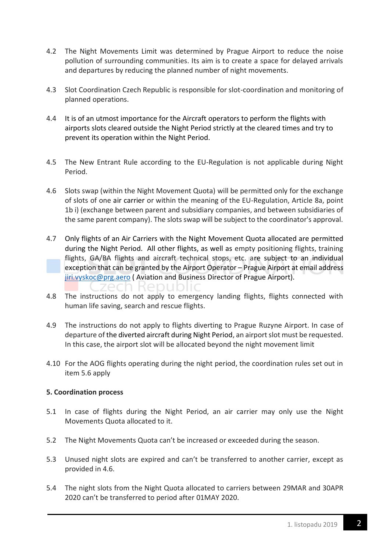- 4.2 The Night Movements Limit was determined by Prague Airport to reduce the noise pollution of surrounding communities. Its aim is to create a space for delayed arrivals and departures by reducing the planned number of night movements.
- 4.3 Slot Coordination Czech Republic is responsible for slot-coordination and monitoring of planned operations.
- 4.4 It is of an utmost importance for the Aircraft operators to perform the flights with airports slots cleared outside the Night Period strictly at the cleared times and try to prevent its operation within the Night Period.
- 4.5 The New Entrant Rule according to the EU-Regulation is not applicable during Night Period.
- 4.6 Slots swap (within the Night Movement Quota) will be permitted only for the exchange of slots of one air carrier or within the meaning of the EU-Regulation, Article 8a, point 1b i) (exchange between parent and subsidiary companies, and between subsidiaries of the same parent company). The slots swap will be subject to the coordinator's approval.
- 4.7 Only flights of an Air Carriers with the Night Movement Quota allocated are permitted during the Night Period. All other flights, as well as empty positioning flights, training flights, GA/BA flights and aircraft technical stops, etc. are subject to an individual exception that can be granted by the Airport Operator – Prague Airport at email address [jiri.vyskoc@prg.aero](mailto:jiri.vyskoc@prg.aero) ( Aviation and Business Director of Prague Airport). n kepu
- 4.8 The instructions do not apply to emergency landing flights, flights connected with human life saving, search and rescue flights.
- 4.9 The instructions do not apply to flights diverting to Prague Ruzyne Airport. In case of departure of the diverted aircraft during Night Period, an airport slot must be requested. In this case, the airport slot will be allocated beyond the night movement limit
- 4.10 For the AOG flights operating during the night period, the coordination rules set out in item 5.6 apply

## **5. Coordination process**

- 5.1 In case of flights during the Night Period, an air carrier may only use the Night Movements Quota allocated to it.
- 5.2 The Night Movements Quota can't be increased or exceeded during the season.
- 5.3 Unused night slots are expired and can't be transferred to another carrier, except as provided in 4.6.
- 5.4 The night slots from the Night Quota allocated to carriers between 29MAR and 30APR 2020 can't be transferred to period after 01MAY 2020.